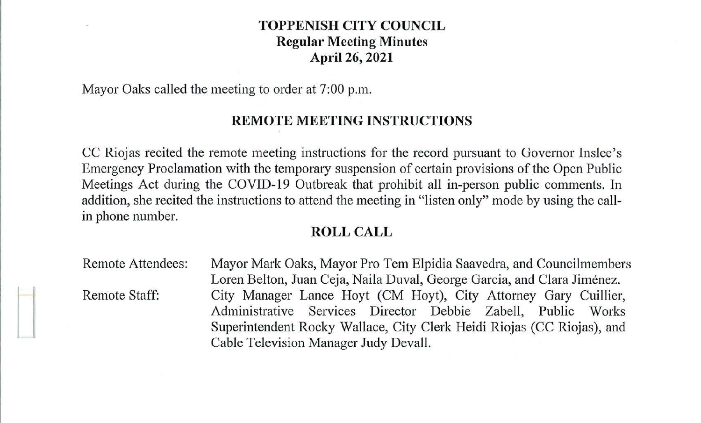# **TOPPENISH CITY COUNCIL Regular Meeting Minutes April 26, 2021**

Mayor Oaks called the meeting to order at 7:00 p.m.

# **REMOTE MEETING INSTRUCTIONS**

CC Riojas recited the remote meeting instructions for the record pursuant to Governor Inslee's Emergency Proclamation with the temporary suspension of certain provisions of the Open Public Meetings Act during the COVID-19 Outbreak that prohibit all in-person public comments. In addition, she recited the instructions to attend the meeting in "listen only" mode by using the callin phone number.

## **ROLL CALL**

Remote Attendees: Remote Staff: Mayor Mark Oaks, Mayor Pro Tern Elpidia Saavedra, and Councilmembers Loren Belton, Juan Ceja, Naila Duval, George Garcia, and Clara Jiménez. City Manager Lance Hoyt (CM Hoyt), City Attorney Gary Cuillier, Administrative Services Director Debbie Zabell, Public Works Superintendent Rocky Wallace, City Clerk Heidi Riojas (CC Riojas), and Cable Television Manager Judy Devall.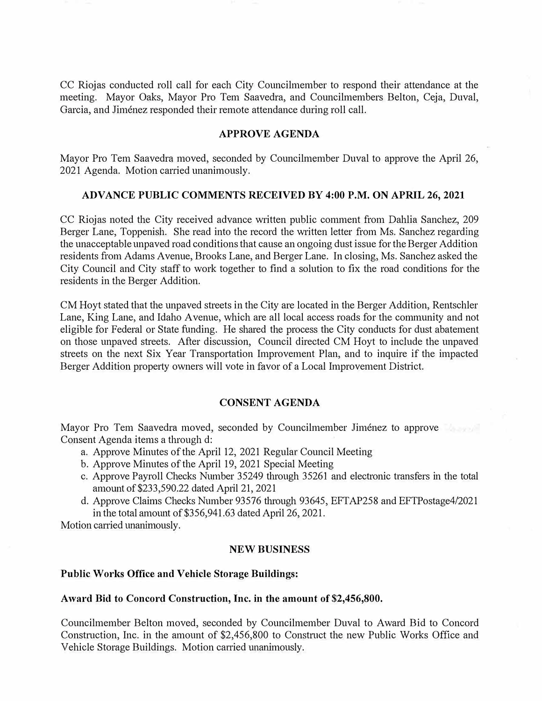CC Riojas conducted roll call for each City Councilmember to respond their attendance at the meeting. Mayor Oaks, Mayor Pro Tem Saavedra, and Councilmembers Belton, Ceja, Duval, Garcia, and Jimenez responded their remote attendance during roll call.

## **APPROVE AGENDA**

Mayor Pro Tem Saavedra moved, seconded by Councilmember Duval to approve the April 26, 2021 Agenda. Motion carried unanimously.

## **ADVANCE PUBLIC COMMENTS RECEIVED BY 4:00 P.M. ON APRIL 26, 2021**

CC Riojas noted the City received advance written public comment from Dahlia Sanchez, 209 Berger Lane, Toppenish. She read into the record the written letter from Ms. Sanchez regarding the unacceptable unpaved road conditions that cause an ongoing dust issue for the Berger Addition residents from Adams Avenue, Brooks Lane, and Berger Lane. In closing, Ms. Sanchez asked the City Council and City staff to work together to find a solution to fix the road conditions for the residents in the Berger Addition.

CM Hoyt stated that the unpaved streets in the City are located in the Berger Addition, Rentschler Lane, King Lane, and Idaho Avenue, which are all local access roads for the community and not eligible for Federal or State funding. He shared the process the City conducts for dust abatement on those unpaved streets. After discussion, Council directed CM Hoyt to include the unpaved streets on the next Six Year Transportation Improvement Plan, and to inquire if the impacted Berger Addition property owners will vote in favor of a Local Improvement District.

#### **CONSENT AGENDA**

Mayor Pro Tem Saavedra moved, seconded by Councilmember Jiménez to approve Consent Agenda items a through d:

- a. Approve Minutes of the April 12, 2021 Regular Council Meeting
- b. Approve Minutes of the April 19, 2021 Special Meeting
- c. Approve Payroll Checks Number 35249 through 35261 and electronic transfers in the total ammmt of \$233,590.22 dated April 21, 2021
- d. Approve Claims Checks Number 93576 through 93645, EFTAP258 and EFTPostage4/2021 in the total amount of  $$356,941.63$  dated April 26, 2021.

Motion carried unanimously.

#### **NEW BUSINESS**

#### **Public Works Office and Vehicle Storage Buildings:**

#### **Award Bid to Concord Construction, Inc. in the amount of \$2,456,800.**

Councilmember Belton moved, seconded by Councilmember Duval to Award Bid to Concord Construction, Inc. in the amount of \$2,456,800 to Construct the new Public Works Office and Vehicle Storage Buildings. Motion carried unanimously.